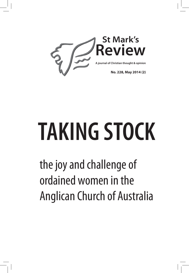

# **TAKING STOCK**

the joy and challenge of ordained women in the Anglican Church of Australia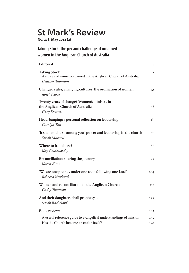### **St Mark's Review**

**No. 228, May 2014 (2)**

#### **Taking Stock: the joy and challenge of ordained women in the Anglican Church of Australia**

| <b>Editorial</b>                                                                                                | V            |
|-----------------------------------------------------------------------------------------------------------------|--------------|
| <b>Taking Stock</b><br>A survey of women ordained in the Anglican Church of Australia<br><b>Heather Thomson</b> | $\mathbf{1}$ |
| Changed rules, changing culture? The ordination of women<br>Janet Scarfe                                        | 51           |
| Twenty years of change? Women's ministry in<br>the Anglican Church of Australia<br>Gary Bouma                   | 58           |
| Head-banging: a personal reflection on leadership<br>Carolyn Tan                                                | 65           |
| 'It shall not be so among you': power and leadership in the church<br>Sarah Macneil                             | 73           |
| Where to from here?<br>Kay Goldsworthy                                                                          | 88           |
| Reconciliation: sharing the journey<br>Karen Kime                                                               | 97           |
| 'We are one people, under one roof, following one Lord'<br>Rebecca Newland                                      | 104          |
| Women and reconciliation in the Anglican Church<br>Cathy Thomson                                                | 115          |
| And their daughters shall prophesy<br>Sarah Bachelard                                                           | 129          |
| <b>Book reviews</b>                                                                                             | 142          |
| A useful reference guide to evangelical understandings of mission<br>Has the Church become an end in itself?    | 142<br>145   |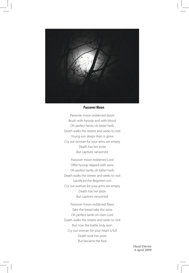

#### **Passover Moon**

Passover moon reddened doors Brush with hyssop and with blood Oh perfect lamb, oh bitter herb Death walks the streets and seeks to visit Young son sleeps then is gone Cry out woman for your arms are empty Death has her prize But captives ransomed

Passover moon reddened Lord Offer hyssop dipped with wine Oh perfect lamb, oh bitter herb Death walks the streets and seeks to visit Sacrificed the Begotten son Cry out woman for your arms are empty Death has her prize But captives ransomed

Passover moon reddened flaws Take the bread take the wine Oh perfect lamb oh risen Lord Death walks the streets and seeks to visit But now the battle truly won Cry out woman for your heart is full Death took her prize But became the fool

> *Hazel Davies 6 April 2009*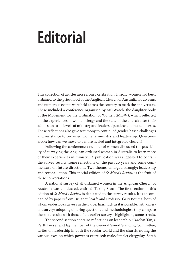## **Editorial**

This collection of articles arose from a celebration. In 2012, women had been ordained to the priesthood of the Anglican Church of Australia for 20 years and numerous events were held across the country to mark the anniversary. These included a conference organised by MOWatch, the daughter body of the Movement for the Ordination of Women (MOW), which reflected on the experiences of women clergy and the state of the church after their admission to all levels of ministry and leadership, at least in most dioceses. These reflections also gave testimony to continued gender-based challenges and resistance to ordained women's ministry and leadership. Questions arose: how can we move to a more healed and integrated church?

Following the conference a number of women discussed the possibility of surveying the Anglican ordained women in Australia to learn more of their experiences in ministry. A publication was suggested to contain the survey results, some reflections on the past 20 years and some commentary on future directions. Two themes emerged strongly: leadership and reconciliation. This special edition of *St Mark's Review* is the fruit of these conversations.

A national survey of all ordained women in the Anglican Church of Australia was conducted, entitled 'Taking Stock'. The first section of this edition of *St Mark's Review* is dedicated to the survey results. It is accompanied by papers from Dr Janet Scarfe and Professor Gary Bouma, both of whom undertook surveys in the 1990s. Inasmuch as it is possible, with different surveys adopting differing questions and methodologies, they compare the 2013 results with those of the earlier surveys, highlighting some trends.

The second section contains reflections on leadership. Carolyn Tan, a Perth lawyer and lay member of the General Synod Standing Committee, writes on leadership in both the secular world and the church, noting the various axes on which power is exercised: male/female; clergy/lay. Sarah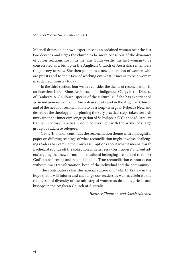Macneil draws on her own experience as an ordained woman over the last two decades and urges the church to be more conscious of the dynamics of power relationships in its life. Kay Goldsworthy, the first woman to be consecrated as a bishop in the Anglican Church of Australia, remembers the journey to 2012. She then points to a new generation of women who are priests and to their task of working out what it means to be a woman in ordained ministry today.

In the third section, four writers consider the theme of reconciliation. In an interview, Karen Kime, Archdeacon for Indigenous Clergy in the Diocese of Canberra & Goulburn, speaks of the cultural gulf she has experienced as an indigenous woman in Australian society and in the Anglican Church and of the need for reconciliation to be a long-term goal. Rebecca Newland describes the theology underpinning the very practical steps taken towards unity when the inner city congregation of St Philip's in O'Connor (Australian Capital Territory) practically doubled overnight with the arrival of a large group of Sudanese refugees.

Cathy Thomson continues the reconciliation theme with a thoughtful paper on differing readings of what reconciliation might involve, challenging readers to examine their own assumptions about what it means. Sarah Bachelard rounds off the collection with her essay on 'insiders' and 'outsiders' arguing that new forms of institutional belonging are needed to reflect God's transforming and reconciling life. True reconciliation cannot occur without inner transformation, both of the individual and the community.

The contributors offer this special edition of *St Mark's Review* in the hope that it will inform and challenge our readers as well as celebrate the richness and diversity of the ministry of women as deacons, priests and bishops in the Anglican Church of Australia.

*Heather Thomson and Sarah Macneil*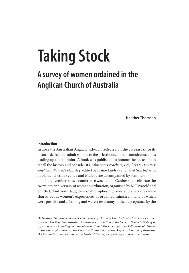# **Taking Stock**

### **A survey of women ordained in the Anglican Church of Australia**

**Heather Thomson**

#### **Introduction**

In 2012 the Australian Anglican Church reflected on the 20 years since its historic decision to admit women to the priesthood, and the tumultuous times leading up to that point. A book was published to honour the occasion, to recall the history and consider its influence: *Preachers, Prophets & Heretics: Anglican Women's Ministry*, edited by Elaine Lindsay and Janet Scarfe,<del>'</del> with book launches in Sydney and Melbourne accompanied by seminars.

In November 2012 a conference was held in Canberra to celebrate the twentieth anniversary of women's ordination, organised by MOWatch<sup>2</sup> and entitled, 'And your daughters shall prophesy'. Stories and anecdotes were shared about women's experiences of ordained ministry, many of which were positive and affirming and were a testimony of their acceptance by the

*Dr Heather Thomson is Acting Head, School of Theology, Charles Sturt University. Heather attended her first demonstration for women's ordination at the General Synod in Sydney in 1977 and was a founding member of the national Movement for the Ordination of Women in the early 1980s. Now on the Doctrine Commission of the Anglican Church of Australia, she has maintained an interest in feminist theology, ecclesiology and reconciliation.*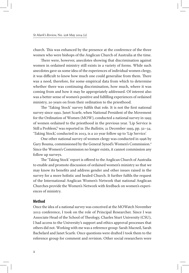church. This was enhanced by the presence at the conference of the three women who were bishops of the Anglican Church of Australia at the time.

There were, however, anecdotes showing that discrimination against women in ordained ministry still exists in a variety of forms. While such anecdotes gave us some idea of the experiences of individual women clergy, it was difficult to know how much one could generalise from them. There was a need, therefore, for some empirical data from which to determine whether there was continuing discrimination, how much, where it was coming from and how it may be appropriately addressed. Of interest also was a better sense of women's positive and fulfilling experiences of ordained ministry, 20 years on from their ordination to the priesthood.

The 'Taking Stock' survey fulfils that role. It is not the first national survey since 1992. Janet Scarfe, when National President of the Movement for the Ordination of Women (MOW), conducted a national survey in 1993 of women ordained to the priesthood in the previous year. 'Lip Service is Still a Problem,<sup>3</sup> was reported in *The Bulletin,* 21 December 1993, pp. 32–34. 'Taking Stock', conducted in 2013, is a 20 year follow up to 'Lip Service'.

One other national survey of women clergy was conducted in 1996 by Gary Bouma, commissioned by the General Synod's Women's Commission.4 Since the Women's Commission no longer exists, it cannot commission any follow up surveys.

The 'Taking Stock' report is offered to the Anglican Church of Australia to enable and promote discussion of ordained women's ministry so that we may know its benefits and address gender and other issues raised in the survey for a more holistic and healed Church. It further fulfils the request of the International Anglican Women's Network that national Anglican Churches provide the Women's Network with feedback on women's experiences of ministry.

#### **Method**

Once the idea of a national survey was conceived at the MOWatch November 2012 conference, I took on the role of Principal Researcher. Since I was Associate Head of the School of Theology, Charles Sturt University (CSU), I had access to the University's support and ethics approval processes that others did not. Working with me was a reference group: Sarah Macneil, Sarah Bachelard and Janet Scarfe. Once questions were drafted I took them to the reference group for comment and revision. Other social researchers were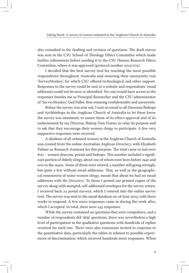also consulted in the drafting and revision of questions. The draft survey was sent to the CSU School of Theology Ethics Committee which made further refinements before sending it to the CSU Human Research Ethics Committee, where it was approved (protocol number 2013/079).

I decided that the best survey tool for reaching the most possible respondents throughout Australia and ensuring their anonymity was 'SurveyMonkey', for which CSU offered technological and other support. Responses to the survey could be sent to a website and respondents' email addresses could not be seen or identified. No-one would have access to the responses besides me as Principal Researcher and the CSU administrator of 'SurveyMonkey', Gail Fuller, thus ensuring confidentiality and anonymity.

Before the survey was sent out, I sent an email to all Diocesan Bishops and Archbishops in the Anglican Church of Australia to let them know the survey was imminent; to assure them of its ethics approval and of its endorsement by my Director, Bishop Tom Frame; to relay its purpose and to ask that they encourage their women clergy to participate. A few very supportive responses were received.

A database of all ordained women in the Anglican Church of Australia was created from the online *Australian Anglican Directory*, with Elizabeth Palmer as Research Assistant for this purpose. The total came to just over 800 – women deacons, priests and bishops. This number included a significant portion of elderly clergy, about 100 of whom were born before 1940 and 200 in the 1940s. Some of those were retired, a number still going strongly, but quite a few without email addresses. That, as well as the geographical remoteness of some women clergy, meant that about 60 had no email addresses with the *Directory*. To those I posted out printed copies of the survey along with stamped, self-addressed envelopes for the survey return. I received back 24 postal surveys, which I entered into the online survey tool. The survey was sent to the email database on 28 June 2013, with three weeks to respond. A few more responses came in during the week after, which I accepted. In total, there were 435 responses.

While the survey contained no questions that were compulsory, and a number of respondents did 'skip' questions, there was nevertheless a high level of participation in the qualitative questions with hundreds of replies received for each one. There were also comments invited in response to the quantitative data, particularly the tables in relation to possible experiences of discrimination, which received hundreds more responses. When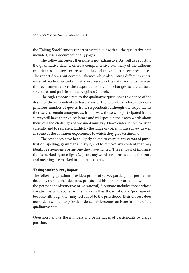the 'Taking Stock' survey report is printed out with all the qualitative data included, it is a document of 263 pages.

The following report therefore is not exhaustive. As well as reporting the quantitative data, it offers a comprehensive summary of the different experiences and views expressed in the qualitative short-answer responses. The report draws out common themes while also noting different experiences of leadership and ministry expressed in the data, and puts forward the recommendations the respondents have for changes to the culture, structures and policies of the Anglican Church.

The high response rate to the qualitative questions is evidence of the desire of the respondents to have a voice. The Report therefore includes a generous number of quotes from respondents, although the respondents themselves remain anonymous. In this way, those who participated in the survey will have their voices heard and will speak in their own words about their joys and challenges of ordained ministry. I have endeavoured to listen carefully and to represent faithfully the range of voices in this survey, as well as some of the common experiences to which they give testimony.

The responses have been lightly edited to correct any errors of punctuation, spelling, grammar and style, and to remove any content that may identify respondents or anyone they have named. The removal of information is marked by an ellipsis (…), and any words or phrases added for sense and meaning are marked in square brackets.

#### **'Taking Stock': Survey Report**

The following questions provide a profile of survey participants: permanent deacons, transitional deacons, priests and bishops. For ordained women, the permanent (distinctive or vocational) diaconate includes those whose vocation is to diaconal ministry as well as those who are 'permanent' because, although they may feel called to the priesthood, their diocese does not ordain women to priestly orders. This becomes an issue in some of the qualitative data.

Question 1 shows the numbers and percentages of participants by clergy position.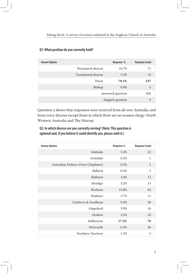| <b>Answer Options</b> |                     | Response %        | <b>Response Count</b> |
|-----------------------|---------------------|-------------------|-----------------------|
|                       | Permanent deacon    | 16.7%             | 71                    |
|                       | Transitional deacon | 3.3%              | 14                    |
|                       | Priest              | 79.1%             | 337                   |
|                       | Bishop              | 0.9%              | $\overline{4}$        |
|                       |                     | answered question | 426                   |
|                       |                     | skipped question  | 9                     |

#### **Q1: What position do you currently hold?**

Question 2 shows that responses were received from all over Australia, and from every diocese except those in which there are no women clergy: North Western Australia and The Murray.

#### **Q2: In which diocese are you currently serving? (Note: This question is optional and, if you believe it could identify you, please omit it.)**

| <b>Answer Options</b>               | Response % | <b>Response Count</b> |
|-------------------------------------|------------|-----------------------|
| Adelaide                            | 5.4%       | 22                    |
| Armidale                            | 0.2%       | $\mathbf{1}$          |
| Australian Defence Force Chaplaincy | 0.5%       | 2                     |
| <b>Ballarat</b>                     | 0.5%       | $\overline{2}$        |
| Bathurst                            | 3.0%       | 12                    |
| Bendigo                             | 3.2%       | 13                    |
| <b>Brisbane</b>                     | 15.8%      | 64                    |
| Bunbury                             | 2.7%       | 11                    |
| Canberra & Goulburn                 | 9.4%       | 38                    |
| Gippsland                           | 3.9%       | 16                    |
| Grafton                             | 2.5%       | 10                    |
| Melbourne                           | 17.2%      | 70                    |
| Newcastle                           | 6.4%       | 26                    |
| Northern Territory                  | 1.2%       | 5                     |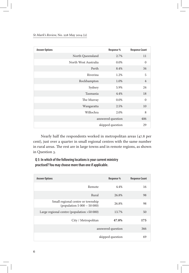#### *St Mark's Review,* No. 228 May 2014 (2)

| <b>Answer Options</b> |                      | Response %        | <b>Response Count</b> |
|-----------------------|----------------------|-------------------|-----------------------|
|                       | North Queensland     | 2.7%              | 11                    |
|                       | North West Australia | 0.0%              | $\mathbf{0}$          |
|                       | Perth                | 8.4%              | 34                    |
|                       | Riverina             | 1.2%              | 5                     |
|                       | Rockhampton          | 1.0%              | $\overline{4}$        |
|                       | Sydney               | 5.9%              | 24                    |
|                       | Tasmania             | 4.4%              | 18                    |
|                       | The Murray           | $0.0\%$           | $\mathbf{0}$          |
|                       | Wangaratta           | 2.5%              | 10                    |
|                       | Willochra            | 2.0%              | 8                     |
|                       |                      | answered question | 406                   |
|                       |                      | skipped question  | 29                    |

Nearly half the respondents worked in metropolitan areas (47.8 per cent), just over a quarter in small regional centres with the same number in rural areas. The rest are in large towns and in remote regions, as shown in Question 3.

**Q 3: In which of the following locations is your current ministry practised? You may choose more than one if applicable.**

| <b>Answer Options</b>                                             | Response %        | <b>Response Count</b> |
|-------------------------------------------------------------------|-------------------|-----------------------|
| Remote                                                            | 4.4%              | 16                    |
| Rural                                                             | 26.8%             | 98                    |
| Small regional centre or township<br>(population $5000 - 50000$ ) | 26.8%             | 98                    |
| Large regional centre (population >50 000)                        | 13.7%             | 50                    |
| City / Metropolitan                                               | 47.8%             | 175                   |
|                                                                   | answered question | 366                   |
|                                                                   | skipped question  | 69                    |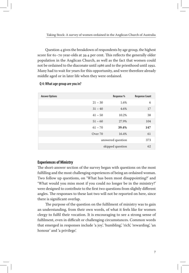Question 4 gives the breakdown of respondents by age group, the highest score for 61–70 year-olds at 39.4 per cent. This reflects the generally older population in the Anglican Church, as well as the fact that women could not be ordained to the diaconate until 1986 and to the priesthood until 1992. Many had to wait for years for this opportunity, and were therefore already middle aged or in later life when they were ordained.

| <b>Answer Options</b> |           | Response %        | <b>Response Count</b> |
|-----------------------|-----------|-------------------|-----------------------|
|                       | $21 - 30$ | 1.6%              | 6                     |
|                       | $31 - 40$ | 4.6%              | 17                    |
|                       | $41 - 50$ | 10.2%             | 38                    |
|                       | $51 - 60$ | 27.9%             | 104                   |
|                       | $61 - 70$ | 39.4%             | 147                   |
|                       | Over 70   | 16.4%             | 61                    |
|                       |           | answered question | 373                   |
|                       |           | skipped question  | 62                    |

#### **Q 4: What age group are you in?**

#### **Experiences of Ministry**

The short-answer section of the survey began with questions on the most fulfilling and the most challenging experiences of being an ordained woman. Two follow up questions, on 'What has been most disappointing?' and 'What would you miss most if you could no longer be in the ministry?' were designed to contribute to the first two questions from slightly different angles. The responses to these last two will not be reported on here, since there is significant overlap.

The purpose of the question on the fulfilment of ministry was to gain an understanding, from their own words, of what it feels like for women clergy to fulfil their vocation. It is encouraging to see a strong sense of fulfilment, even in difficult or challenging circumstances. Common words that emerged in responses include 'a joy', 'humbling', 'rich', 'rewarding', 'an honour' and 'a privilege'.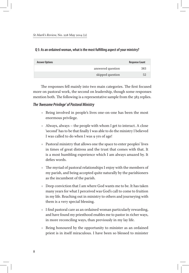| <b>Answer Options</b> |                   | <b>Response Count</b> |
|-----------------------|-------------------|-----------------------|
|                       | answered question | 383                   |
|                       | skipped question  | 52                    |

The responses fell mainly into two main categories. The first focused more on pastoral work, the second on leadership, though some responses mention both. The following is a representative sample from the 383 replies.

#### *The 'Awesome Privilege' of Pastoral Ministry*

- Ѽ Being involved in people's lives one-on-one has been the most enormous privilege.
- $\triangleleft$  Always, always the people with whom I get to interact. A close 'second' has to be that finally I was able to do the ministry I believed I was called to do when I was 9 yrs of age!
- Ѽ Pastoral ministry that allows one the space to enter peoples' lives in times of great distress and the trust that comes with that. It is a most humbling experience which I am always amazed by. It defies words.
- Ѽ The myriad of pastoral relationships I enjoy with the members of my parish, and being accepted quite naturally by the parishioners as the incumbent of the parish.
- $\triangleleft$  Deep conviction that I am where God wants me to be. It has taken many years for what I perceived was God's call to come to fruition in my life. Reaching out in ministry to others and journeying with them is a very special blessing.
- $\bullet$  I find pastoral care as an ordained woman particularly rewarding, and have found my priesthood enables me to pastor in richer ways, in more reconciling ways, than previously in my lay life.
- $\triangle$  Being honoured by the opportunity to minister as an ordained priest is in itself miraculous. I have been so blessed to minister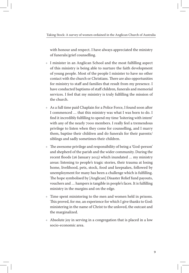with honour and respect. I have always appreciated the ministry of funerals/grief counselling.

- Ѽ I minister in an Anglican School and the most fulfilling aspect of this ministry is being able to nurture the faith development of young people. Most of the people I minister to have no other contact with the church or Christians. There are also opportunities for ministry to staff and families that result from my presence. I have conducted baptisms of staff children, funerals and memorial services. I feel that my ministry is truly fulfilling the mission of the church.
- Ѽ As a full time paid Chaplain for a Police Force, I found soon after I commenced … that this ministry was what I was born to do. I find it incredibly fulfilling to spend my time 'loitering with intent' with any of the nearly 7000 members. I really feel a tremendous privilege to listen when they come for counselling, and I marry them, baptise their children and do funerals for their parents/ siblings and sadly sometimes their children.
- Ѽ The awesome privilege and responsibility of being a 'God-person' and shepherd of the parish and the wider community. During the recent floods (26 January 2013) which inundated … my ministry areas: listening to people's tragic stories, their trauma at losing home, livelihood, pets, stock, food and keepsakes, followed by unemployment for many has been a challenge which is fulfilling. The hope symbolised by [Anglican] Disaster Relief fund payouts, vouchers and … hampers is tangible in people's faces. It is fulfilling ministry in the margins and on the edge.
- $\triangle$  Time spent ministering to the men and women held in prisons. This proved, for me, an experience for which I give thanks to God: ministering in the name of Christ to the unloved, the outcast and the marginalized.
- Ѽ Absolute joy in serving in a congregation that is placed in a low socio-economic area.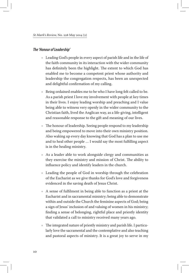#### *The 'Honour of Leadership'*

- Ѽ Leading God's people in every aspect of parish life and in the life of the faith community in its interaction with the wider community has definitely been the highlight. The extent to which God has enabled me to become a competent priest whose authority and leadership the congregation respects, has been an unexpected and delightful confirmation of my calling.
- $\triangle$  Being ordained enables me to be who I have long felt called to be. As a parish priest I love my involvement with people at key times in their lives. I enjoy leading worship and preaching and I value being able to witness very openly in the wider community to the Christian faith, lived the Anglican way, as a life-giving, intelligent and reasonable response to the gift and meaning of our lives.
- $\bullet$  The honour of leadership. Seeing people respond to my leadership and being empowered to move into their own ministry position. Also waking up every day knowing that God has a plan to use me and to heal other people … I would say the most fulfilling aspect is in the healing ministry.
- $\triangle$  As a leader able to work alongside clergy and communities as they exercise the ministry and mission of Christ. The ability to influence policy and identify leaders in the church.
- Ѽ Leading the people of God in worship through the celebration of the Eucharist as we give thanks for God's love and forgiveness evidenced in the saving death of Jesus Christ.
- Ѽ A sense of fulfilment in being able to function as a priest at the Eucharist and in sacramental ministry; being able to demonstrate within and outside the Church the feminine aspects of God; being a sign of Jesus' inclusion of and valuing of women in his ministry; finding a sense of belonging, rightful place and priestly identity that validated a call to ministry received many years ago.
- Ѽ The integrated nature of priestly ministry and parish life. I particularly love the sacramental and the contemplative and also teaching and pastoral aspects of ministry. It is a great joy to serve in my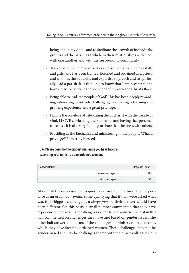being and in my doing and to facilitate the growth of individuals, groups and the parish as a whole in their relationships with God, with one another and with the surrounding community.

- Ѽ The sense of being recognised as a person of faith, who has skills and gifts, and has been trained, licensed and ordained as a priest, and who has the authority and expertise to preach and to spiritually lead a parish. It is fulfilling to know that I am accepted, and have a place as servant and shepherd of my own and Christ's flock.
- $\triangle$  Being able to lead 'the people of God'. This has been deeply rewarding, interesting, positively challenging, fascinating; a learning and growing experience and a great privilege.
- Ѽ Having the privilege of celebrating the Eucharist with the people of God. I LOVE celebrating the Eucharist, and having that personal closeness. It is also very fulfilling to share that closeness with others.
- Ѽ Presiding at the Eucharist and ministering to the people. What a privilege!! I am truly blessed.

**Q 6: Please describe the biggest challenge you have faced in exercising your ministry as an ordained woman.**

| <b>Answer Options</b> |                   | <b>Response Count</b> |
|-----------------------|-------------------|-----------------------|
|                       | answered question | 380                   |
|                       | skipped question  | 55                    |

About half the responses to this question answered in terms of their experience as an ordained *woman*, some qualifying that if they were asked what was their biggest challenge as a *clergy person*, their answer would have been different. On this basis, a small number commented that they have experienced no particular challenges as an ordained *woman*. The rest in this half commented on challenges they have met based on gender issues. The other half answered in terms of the challenges of ministry more generally, which they have faced as ordained women. These challenges may not be gender-based and may be challenges shared with their male colleagues, but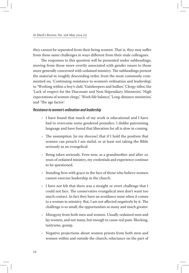they cannot be separated from their being women. That is, they may suffer from these same challenges in ways different from their male colleagues.

The responses to this question will be presented under subheadings, moving from those more overtly associated with gender issues to those more generally concerned with ordained ministry. The subheadings present the material in roughly descending order, from the most commonly commented on, 'Continuing resistance to women's ordination and leadership', to 'Working within a boy's club', 'Gatekeepers and bullies', 'Clergy titles', the 'Lack of respect for the Diaconate and Non-Stipendiary Ministries', 'High expectations of women clergy', 'Work/life balance', 'Long-distance ministries', and 'The age factor'.

#### *Resistance to women's ordination and leadership*

- $\bullet$  I have found that much of my work is educational and I have had to overcome some gendered prejudice. I dislike patronising language and have found that liberation for all is slow in coming.
- $\triangle$  The assumption [in my diocese] that if I hold the position that women can preach I am sinful, or at least not taking the Bible seriously as an evangelical.
- $\bullet$  Being taken seriously. Even now, as a grandmother and after 20 years of ordained ministry, my credentials and experience continue to be questioned.
- $\bullet$  Standing firm with grace in the face of those who believe women cannot exercise leadership in the church.
- $\bullet$  I have not felt that there was a straight or overt challenge that I could not face. The conservative evangelical men don't want too much contact. In fact they have an avoidance issue when it comes to a woman in ministry. But, I am not affected negatively by it. The challenge is so small, the opportunities so many and much greater.
- $*$  Misogyny from both men and women. Usually ordained men and lay women, and not many, but enough to cause real pain. Blocking, tantrums, gossip.
- Ѽ Negative projections about women priests from both men and women within and outside the church; reluctance on the part of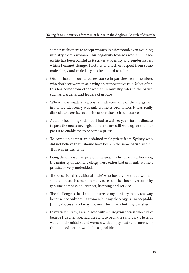some parishioners to accept women in priesthood, even avoiding ministry from a woman. This negativity towards women in leadership has been painful as it strikes at identity and gender issues, which I cannot change. Hostility and lack of respect from some male clergy and male laity has been hard to tolerate.

- Ѽ Often I have encountered resistance in parishes from members who don't see women as having an authoritative role. Most often this has come from other women in ministry roles in the parish such as wardens, and leaders of groups.
- Ѽ When I was made a regional archdeacon, one of the clergymen in my archdeaconry was anti-women's ordination. It was really difficult to exercise authority under those circumstances.
- Ѽ Actually becoming ordained. I had to wait 20 years for my diocese to pass the necessary legislation, and am still waiting for them to pass it to enable me to become a priest.
- Ѽ To come up against an ordained male priest from Sydney who did not believe that I should have been in the same parish as him. This was in Tasmania.
- Ѽ Being the only woman priest in the area in which I served, knowing the majority of the male clergy were either blatantly anti-women priests, or very undecided.
- Ѽ The occasional 'traditional male' who has a view that a woman should not teach a man. In many cases this has been overcome by genuine compassion, respect, listening and service.
- $\bullet$  The challenge is that I cannot exercise my ministry in any real way because not only am I a woman, but my theology is unacceptable [in my diocese], so I may not minister in any but tiny parishes.
- $\bullet$  In my first curacy, I was placed with a misogynist priest who didn't believe I, as a female, had the right to be in the sanctuary. He felt I was a lonely middle aged woman with empty nest syndrome who thought ordination would be a good idea.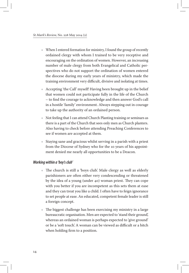- Ѽ When I entered formation for ministry, I found the group of recently ordained clergy with whom I trained to be very receptive and encouraging on the ordination of women. However, an increasing number of male clergy from both Evangelical and Catholic perspectives who do not support the ordination of women entered the diocese during my early years of ministry, which made the training environment very difficult, divisive and isolating at times.
- Ѽ Accepting 'the Call' myself! Having been brought up in the belief that women could not participate fully in the life of the Church – to find the courage to acknowledge and then answer God's call in a hostile 'family' environment. Always stepping out in courage to take up the authority of an ordained person.
- $\bullet$  Not feeling that I can attend Church Planting training or seminars as there is a part of the Church that sees only men as Church planters. Also having to check before attending Preaching Conferences to see if women are accepted at them.
- $\triangle$  Staying sane and gracious whilst serving in a parish with a priest from the Diocese of Sydney who for the 10 years of his appointment denied me nearly all opportunities to be a Deacon.

#### *Working within a 'boy's club'*

- Ѽ The church is still a 'boys club'. Male clergy as well as elderly parishioners are often either very condescending or threatened by the idea of a young (under 40) woman priest. They can cope with you better if you are incompetent as this sets them at ease and they can treat you like a child. I often have to feign ignorance to set people at ease. An educated, competent female leader is still a foreign concept.
- Ѽ The biggest challenge has been exercising my ministry in a large bureaucratic organisation. Men are expected to 'stand their ground', whereas an ordained woman is perhaps expected to 'give ground' or be a 'soft touch'. A woman can be viewed as difficult or a bitch when holding firm to a position.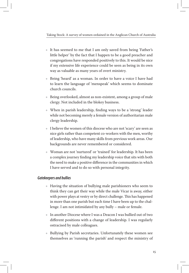- Ѽ It has seemed to me that I am only saved from being 'Father's little helper' by the fact that I happen to be a good preacher and congregations have responded positively to this. It would be nice if my extensive life experience could be seen as being in its own way as valuable as many years of overt ministry.
- Ѽ Being 'heard' as a woman. In order to have a voice I have had to learn the language of 'menspeak' which seems to dominate church councils.
- $\triangle$  Being overlooked, almost as non-existent, among a group of male clergy. Not included in the blokey business.
- Ѽ When in parish leadership, finding ways to be a 'strong' leader while not becoming merely a female version of authoritarian male clergy leadership.
- $\bullet$  I believe the women of this diocese who are not 'scary' are seen as nice girls rather than competent co-workers with the men, worthy of leadership, who have many skills from previous work areas. Our backgrounds are never remembered or considered.
- Ѽ Woman are not 'nurtured' or 'trained' for leadership. It has been a complex journey finding my leadership voice that sits with both the need to make a positive difference in the communities in which I have served and to do so with personal integrity.

#### *Gatekeepers and bullies*

- Ѽ Having the situation of bullying male parishioners who seem to think they can get their way while the male Vicar is away, either with power plays at vestry or by direct challenge. This has happened in more than one parish but each time I have been up to the challenge. I am not intimidated by any bully – male or female.
- $\bullet$  In another Diocese where I was a Deacon I was bullied out of two different positions with a change of leadership. I was regularly ostracised by male colleagues.
- Ѽ Bullying by Parish secretaries. Unfortunately these women see themselves as 'running the parish' and respect the ministry of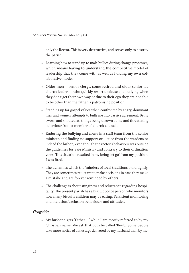only the Rector. This is very destructive, and serves only to destroy the parish.

- $\triangleleft$  Learning how to stand up to male bullies during change processes, which means having to understand the competitive model of leadership that they come with as well as holding my own collaborative model.
- Ѽ Older men senior clergy, some retired and older senior lay church leaders – who quickly resort to abuse and bullying when they don't get their own way or due to their ego they are not able to be other than the father, a patronising position.
- Ѽ Standing up for gospel values when confronted by angry, dominant men and women; attempts to bully me into passive agreement. Being sworn and shouted at, things being thrown at me and threatening behaviour from a member of church council.
- Ѽ Enduring the bullying and abuse in a staff team from the senior minister, and finding no support or justice from the wardens or indeed the bishop, even though the rector's behaviour was outside the guidelines for Safe Ministry and contrary to their ordination vows. This situation resulted in my being 'let go' from my position. I was fired.
- Ѽ The dynamics which the 'minders of local traditions' hold tightly. They are sometimes reluctant to make decisions in case they make a mistake and are forever reminded by others.
- Ѽ The challenge is about stinginess and reluctance regarding hospitality. The present parish has a biscuit police person who monitors how many biscuits children may be eating. Persistent monitoring and inclusion/exclusion behaviours and attitudes.

#### *Clergy titles*

Ѽ My husband gets 'Father …' while I am mostly referred to by my Christian name. We ask that both be called 'Rev'd'. Some people take more notice of a message delivered by my husband than by me.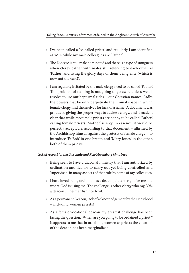- Ѽ I've been called a 'so-called priest' and regularly I am identified as 'Mrs' while my male colleagues are 'Father'.
- $\triangle$  The Diocese is still male dominated and there is a type of smugness when clergy gather with males still referring to each other as 'Father' and living the glory days of them being elite (which is now not the case!).
- Ѽ I am regularly irritated by the male clergy need to be called 'Father'. The problem of naming is not going to go away unless we all resolve to use our baptismal titles – our Christian names. Sadly, the powers that be only perpetuate the liminal space in which female clergy find themselves for lack of a name. A document was produced giving the proper ways to address clergy, and it made it clear that while most male priests are happy to be called 'Father', calling female priests 'Mother' is icky. In essence, it would be perfectly acceptable, according to that document – affirmed by the Archbishop himself against the protests of female clergy – to introduce 'Fr Bob' in one breath and 'Mary Jones' in the other, both of them priests.

#### *Lack of respect for the Diaconate and Non-Stipendiary Ministries*

- Ѽ Being seen to have a diaconal ministry that I am authorized by ordination and license to carry out yet being controlled and 'supervised' in many aspects of that role by some of my colleagues.
- Ѽ I have loved being ordained [as a deacon], it is so right for me and where God is using me. The challenge is other clergy who say, 'Oh, a deacon … neither fish nor fowl'.
- Ѽ As a permanent Deacon, lack of acknowledgement by the Priesthood – including women priests!
- Ѽ As a female vocational deacon my greatest challenge has been facing the question, 'When are you going to be ordained a priest?' It appears to me that in ordaining women as priests the vocation of the deacon has been marginalized.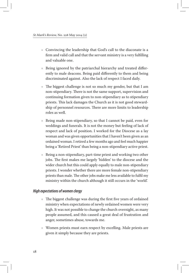- Ѽ Convincing the leadership that God's call to the diaconate is a firm and valid call and that the servant ministry is a very fulfilling and valuable one.
- Ѽ Being ignored by the patriarchal hierarchy and treated differently to male deacons. Being paid differently to them and being discriminated against. Also the lack of respect I faced daily.
- $\triangle$  The biggest challenge is not so much my gender, but that I am non-stipendiary. There is not the same support, supervision and continuing formation given to non-stipendiary as to stipendiary priests. This lack damages the Church as it is not good stewardship of personnel resources. There are more limits to leadership roles as well.
- Ѽ Being made non-stipendiary, so that I cannot be paid, even for weddings and funerals. It is not the money but feeling of lack of respect and lack of position. I worked for the Diocese as a lay woman and was given opportunities that I haven't been given as an ordained woman. I retired a few months ago and feel much happier being a 'Retired Priest' than being a non-stipendiary active priest.
- $\triangle$  Being a non-stipendiary, part-time priest and working two other jobs. The first makes me largely 'hidden' to the diocese and the wider church but this could apply equally to male non-stipendiary priests. I wonder whether there are more female non-stipendiary priests than male. The other jobs make me less available to fulfil my ministry within the church although it still occurs in the 'world'.

#### *High expectations of women clergy*

- Ѽ The biggest challenge was during the first five years of ordained ministry when expectations of newly ordained women were very high. It was not possible to change the church overnight, as many people assumed, and this caused a great deal of frustration and anger, sometimes abuse, towards me.
- Ѽ Women priests must earn respect by excelling. Male priests are given it simply because they are priests.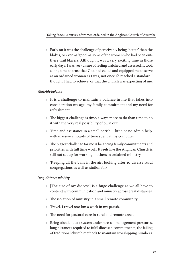$\triangle$  Early on it was the challenge of perceivably being 'better' than the blokes, or even as 'good' as some of the women who had been outthere trail blazers. Although it was a very exciting time in those early days, I was very aware of feeling watched and assessed. It took a long time to trust that God had called and equipped me to serve as an ordained woman as I was, not once I'd reached a standard I thought I had to achieve, or that the church was expecting of me.

#### *Work/life balance*

- Ѽ It is a challenge to maintain a balance in life that takes into consideration my age, my family commitment and my need for refreshment.
- Ѽ The biggest challenge is time, always more to do than time to do it with the very real possibility of burn out.
- $\triangle$  Time and assistance in a small parish little or no admin help, with massive amounts of time spent at my computer.
- Ѽ The biggest challenge for me is balancing family commitments and priorities with full time work. It feels like the Anglican Church is still not set up for working mothers in ordained ministry.
- Ѽ 'Keeping all the balls in the air', looking after 10 diverse rural congregations as well as station folk.

#### *Long-distance ministry*

- Ѽ [The size of my diocese] is a huge challenge as we all have to contend with communication and ministry across great distances.
- Ѽ The isolation of ministry in a small remote community.
- $\triangleleft$  Travel. I travel 800 km a week in my parish.
- $\bullet$  The need for pastoral care in rural and remote areas.
- $\triangle$  Being obedient to a system under stress management pressures, long distances required to fulfil diocesan commitments, the failing of traditional church methods to maintain worshipping numbers.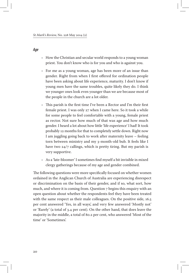#### *Age*

- $\triangle$  How the Christian and secular world responds to a young woman priest. You don't know who is for you and who is against you.
- Ѽ For me as a young woman, age has been more of an issue than gender. Right from when I first offered for ordination people have been asking about life experience, maturity. I don't know if young men have the same troubles, quite likely they do. I think we younger ones look even younger than we are because most of the people in the church are a lot older.
- Ѽ This parish is the first time I've been a Rector and I'm their first female priest. I was only 27 when I came here. So it took a while for some people to feel comfortable with a young, female priest as rector. Not sure how much of that was age and how much gender. I heard a lot about how little 'life experience' I had! It took probably 12 months for that to completely settle down. Right now I am juggling going back to work after maternity leave – feeling torn between ministry and my 3-month-old bub. It feels like I have two 24/7 callings, which is pretty tiring. But my parish is very supportive.
- Ѽ As a 'late-bloomer' I sometimes find myself a bit invisible in mixed clergy gatherings because of my age and gender combined.

The following questions were more specifically focused on whether women ordained in the Anglican Church of Australia are experiencing disrespect or discrimination on the basis of their gender, and if so, what sort, how much, and where it is coming from. Question 7 begins this enquiry with an open question about whether the respondents feel they have been treated with the same respect as their male colleagues. On the positive side, 16.5 per cent answered 'Yes, in all ways', and very few answered 'Mostly not' or 'Rarely' (a total of 3.4 per cent). On the other hand, that does leave the majority in the middle, a total of 80.2 per cent, who answered 'Most of the time' or 'Sometimes'.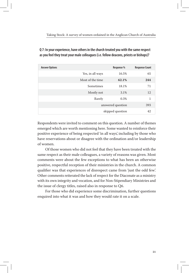| <b>Answer Options</b> |                  | Response %        | <b>Response Count</b> |
|-----------------------|------------------|-------------------|-----------------------|
|                       | Yes, in all ways | 16.5%             | 65                    |
|                       | Most of the time | 62.1%             | 244                   |
|                       | Sometimes        | 18.1%             | 71                    |
|                       | Mostly not       | 3.1%              | 12                    |
|                       | Rarely           | 0.3%              | 1                     |
|                       |                  | answered question | 393                   |
|                       |                  | skipped question  | 42                    |

**Q 7: In your experience, have others in the church treated you with the same respect as you feel they treat your male colleagues (i.e. fellow deacons, priests or bishops)?**

Respondents were invited to comment on this question. A number of themes emerged which are worth mentioning here. Some wanted to reinforce their positive experience of being respected 'in all ways', including by those who have reservations about or disagree with the ordination and/or leadership of women.

Of those women who did not feel that they have been treated with the same respect as their male colleagues, a variety of reasons was given. Most comments were about the few exceptions to what has been an otherwise positive, respectful reception of their ministries in the church. A common qualifier was that experiences of disrespect came from 'just the odd few'. Other comments reiterated the lack of respect for the Diaconate as a ministry with its own integrity and vocation, and for Non-Stipendiary Ministries and the issue of clergy titles, raised also in response to Q6.

For those who did experience some discrimination, further questions enquired into what it was and how they would rate it on a scale.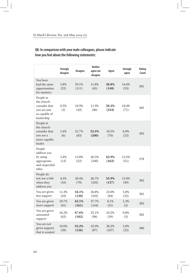#### **Q8: In comparison with your male colleagues, please indicate how you feel about the following statements:**

|                                                                                         | <b>Strongly</b><br>disagree | <b>Disagree</b> | <b>Neither</b><br>agree nor<br>disagree | Agree          | <b>Strongly</b><br>agree | Rating<br>Count |
|-----------------------------------------------------------------------------------------|-----------------------------|-----------------|-----------------------------------------|----------------|--------------------------|-----------------|
| You have<br>had the same<br>opportunities<br>for ministry                               | 5.8%<br>(22)                | 29.1%<br>(111)  | 11.8%<br>(45)                           | 38.8%<br>(148) | 14.4%<br>(55)            | 381             |
| People in<br>the church<br>consider that<br>you are just<br>as capable of<br>leadership | 0.5%<br>(2)                 | 10.9%<br>(42)   | 11.9%<br>(46)                           | 58.2%<br>(224) | 18.4%<br>(71)            | 385             |
| People in<br>the church<br>consider that<br>you are a<br>more capable<br>leader         | 1.6%<br>(6)                 | 21.7%<br>(83)   | 52.4%<br>(200)                          | 18.3%<br>(70)  | 6.0%<br>(23)             | 382             |
| People<br>address you<br>by using<br>appropriate<br>and respectful<br>titles            | 3.4%<br>(13)                | 13.8%<br>(52)   | 26.5%<br>(100)                          | 42.9%<br>(162) | 13.5%<br>(51)            | 378             |
| People do<br>not use a title<br>when they<br>address you                                | 4.2%<br>(16)                | 20.4%<br>(78)   | 26.7%<br>(102)                          | 35.9%<br>(137) | 12.8%<br>(49)            | 382             |
| You are given<br>less support                                                           | 11.3%<br>(43)               | 34.1%<br>(130)  | 26.8%<br>(102)                          | 22.0%<br>(84)  | 5.8%<br>(22)             | 381             |
| You are given<br>more support                                                           | 10.7%<br>(41)               | 42.1%<br>(161)  | 37.7%<br>(144)                          | 8.1%<br>(31)   | 1.3%<br>(5)              | 382             |
| You are given<br>unwanted<br>support                                                    | 16.2%<br>(62)               | 47.6%<br>(182)  | 25.1%<br>(96)                           | 10.2%<br>(39)  | 0.8%<br>(3)              | 382             |
| You are not<br>given support<br>that is wanted                                          | 10.0%<br>(38)               | 33.2%<br>(126)  | 22.9%<br>(87)                           | 28.2%<br>(107) | 5.8%<br>(22)             | 380             |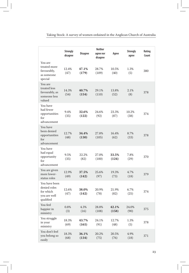|                                                                         | <b>Strongly</b><br>disagree | <b>Disagree</b> | <b>Neither</b><br>agree nor<br>disagree | Agree          | <b>Strongly</b><br>agree | Rating<br>Count |
|-------------------------------------------------------------------------|-----------------------------|-----------------|-----------------------------------------|----------------|--------------------------|-----------------|
| You are<br>treated more<br>favourably,<br>as someone<br>special         | 12.4%<br>(47)               | 47.1%<br>(179)  | 28.7%<br>(109)                          | 10.5%<br>(40)  | 1.3%<br>(5)              | 380             |
| You are<br>treated less<br>favourably, as<br>someone less<br>valued     | 14.3%<br>(54)               | 40.7%<br>(154)  | 29.1%<br>(110)                          | 13.8%<br>(52)  | 2.1%<br>(8)              | 378             |
| You have<br>had fewer<br>opportunities<br>for<br>advancement            | 9.4%<br>(35)                | 32.6%<br>(122)  | 24.6%<br>(92)                           | 23.3%<br>(87)  | 10.2%<br>(38)            | 374             |
| You have<br>been denied<br>opportunities<br>for<br>advancement          | 12.7%<br>(48)               | 34.4%<br>(130)  | 27.8%<br>(105)                          | 16.4%<br>(62)  | 8.7%<br>(33)             | 378             |
| You have<br>had equal<br>opportunity<br>for<br>advancement              | 9.5%<br>(35)                | 22.2%<br>(82)   | 27.0%<br>(100)                          | 33.5%<br>(124) | 7.8%<br>(29)             | 370             |
| You are given<br>more lower-<br>status roles                            | 12.9%<br>(49)               | 37.5%<br>(142)  | 25.6%<br>(97)                           | 19.3%<br>(73)  | 4.7%<br>(18)             | 379             |
| You have been<br>denied roles<br>for which<br>you are well<br>qualified | 12.6%<br>(47)               | 38.0%<br>(142)  | 20.9%<br>(78)                           | 21.9%<br>(82)  | 6.7%<br>(25)             | 374             |
| You feel<br>happier in<br>ministry                                      | 0.8%<br>(3)                 | 4.3%<br>(16)    | 28.8%<br>(108)                          | 42.1%<br>(158) | 24.0%<br>(90)            | 375             |
| You struggle<br>in your<br>ministry                                     | 18.3%<br>(69)               | 43.7%<br>(165)  | 24.1%<br>(91)                           | 12.7%<br>(48)  | 1.3%<br>(5)              | 378             |
| You don't feel<br>you belong so<br>easily                               | 18.3%<br>(68)               | 36.1%<br>(134)  | 20.2%<br>(75)                           | 20.5%<br>(76)  | 4.9%<br>(18)             | 371             |

Taking Stock: A survey of women ordained in the Anglican Church of Australia

 $\overline{1}$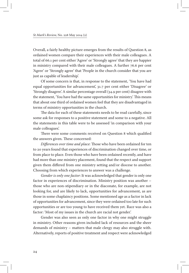Overall, a fairly healthy picture emerges from the results of Question 8, as ordained women compare their experiences with their male colleagues. A total of 66.1 per cent either 'Agree' or 'Strongly agree' that they are happier in ministry compared with their male colleagues. A further 76.6 per cent 'Agree' or 'Strongly agree' that 'People in the church consider that you are just as capable of leadership'.

Of some concern is that, in response to the statement, 'You have had equal opportunities for advancement', 31.7 per cent either 'Disagree' or 'Strongly disagree'. A similar percentage overall (34.9 per cent) disagree with the statement, 'You have had the same opportunities for ministry'. This means that about one third of ordained women feel that they are disadvantaged in terms of ministry opportunities in the church.

The data for each of these statements needs to be read carefully, since some ask for responses to a positive statement and some to a negative. All the statements in this table were to be assessed 'in comparison with your male colleagues'.

There were some comments received on Question 8 which qualified the answers given. These concerned:

*Differences over time and place*: Those who have been ordained for ten to 20 years found that experiences of discrimination changed over time, or from place to place. Even those who have been ordained recently, and have had more than one ministry placement, found that the respect and support given them differed from one ministry setting and/or diocese to another. Choosing from which experiences to answer was a challenge.

*Gender is only one factor*: It was acknowledged that gender is only one factor in experiences of discrimination. Ministry position was another – those who are non-stipendiary or in the diaconate, for example, are not looking for, and are likely to lack, opportunities for advancement, as are those in some chaplaincy positions. Some mentioned age as a factor in lack of opportunities for advancement, since they were ordained too late for such opportunities or are too young to have received them yet. Race was also a factor: 'Most of my issues in the church are racial not gender'.

Gender was also seen as only one factor in why one might struggle in ministry. Other reasons given included lack of resources and the sheer demands of ministry – matters that male clergy may also struggle with. Alternatively, reports of positive treatment and respect were acknowledged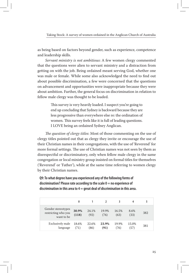Taking Stock: A survey of women ordained in the Anglican Church of Australia

as being based on factors beyond gender, such as experience, competence and leadership skills.

*Servant ministry is not ambitious*: A few women clergy commented that the questions were alien to servant ministry and a distraction from getting on with the job. Being ordained meant serving God, whether one was male or female. While some also acknowledged the need to find out about possible discrimination, a few were concerned that the questions on advancement and opportunities were inappropriate because they were about ambition. Further, the general focus on discrimination in relation to fellow male clergy was thought to be loaded.

> This survey is very heavily loaded. I suspect you're going to end up concluding that Sydney is backward because they are less progressive than everywhere else re: the ordination of women. This survey feels like it is full of leading questions. I LOVE being an ordained Sydney Anglican.

*The question of clergy titles*: Most of those commenting on the use of clergy titles pointed out that as clergy they invite or encourage the use of their Christian names in their congregations, with the use of 'Reverend' for more formal settings. The use of Christian names was not seen by them as disrespectful or discriminatory, only when fellow male clergy in the same congregation or local ministry group insisted on formal titles for themselves ('Reverend' or 'Father'), while at the same time referring to women clergy by their Christian names.

**Q9: To what degree have you experienced any of the following forms of discrimination? Please rate according to the scale 0 = no experience of discrimination in this area to 4 = great deal of discrimination in this area.**

|                                                         | 0              |               |               |               | 4             |     |
|---------------------------------------------------------|----------------|---------------|---------------|---------------|---------------|-----|
| Gender stereotypes<br>restricting who you<br>want to be | 30.9%<br>(118) | 24.1%<br>(92) | 19.9%<br>(76) | 16.5%<br>(63) | 8.6%<br>(33)  | 382 |
| Exclusively male<br>language                            | 18.6%<br>(71)  | 22.6%<br>(86) | 23.9%<br>(91) | 19.9%<br>(76) | 15.0%<br>(57) | 381 |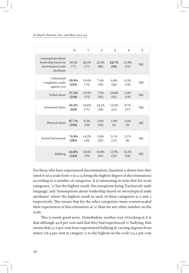#### *St Mark's Review,* No. 228 May 2014 (2)

|                                                                              | 0              | 1             | $\overline{\phantom{a}}$ | 3             | $\overline{4}$ | 5   |
|------------------------------------------------------------------------------|----------------|---------------|--------------------------|---------------|----------------|-----|
| Assumptions about<br>leadership based on<br>stereotypical male<br>attributes | 20.2%<br>(77)  | 20.2%<br>(77) | 21.0%<br>(80)            | 24.7%<br>(94) | 13.9%<br>(53)  | 381 |
| Unfounded<br>complaints made<br>against you                                  | 59.9%<br>(229) | 19.4%<br>(74) | 7.6%<br>(29)             | 6.8%<br>(26)  | 6.3%<br>(24)   | 382 |
| Verbal abuse                                                                 | 57.2%<br>(218) | 19.2%<br>(73) | 7.9%<br>(30)             | 10.8%<br>(41) | 5.0%<br>(19)   | 381 |
| Emotional abuse                                                              | 44.2%<br>(169) | 18.6%<br>(71) | 14.1%<br>(54)            | 13.4%<br>(51) | 9.7%<br>(37)   | 382 |
| Physical abuse                                                               | 87.7%<br>(334) | 6.3%<br>(24)  | 2.6%<br>(10)             | 1.0%<br>(4)   | 2.4%<br>(9)    | 381 |
| Sexual harassment                                                            | 74.8%<br>(285) | 14.2%<br>(54) | 5.8%<br>(22)             | 3.1%<br>(12)  | 2.1%<br>(8)    | 381 |
| <b>Bullying</b>                                                              | 42.8%<br>(163) | 18.4%<br>(70) | 10.8%<br>(41)            | 13.9%<br>(53) | 14.2%<br>(54)  | 381 |

For those who have experienced discrimination, Question 9 shows how they rated it on a scale from 0 to 4 (4 being the highest degree of discrimination) according to a number of categories. It is interesting to note that for most categories, '0' has the highest result, the exceptions being 'Exclusively male language', and 'Assumptions about leadership based on stereotypical male attributes' where the highest result in each of these categories is 2 and 3 respectively. This means that for the other categories, more women scaled their experiences of discrimination at '0' than for any other number on the scale.

This is surely good news. Nonetheless, another way of looking at it is that although 42.8 per cent said that they had experienced '0' bullying, that means that 57.2 per cent *have* experienced bullying in varying degrees from minor (18.4 per cent at category 1) to the highest on the scale (14.2 per cent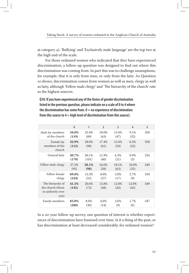at category 4). 'Bullying' and 'Exclusively male language' are the top two at the high end of the scale.

For those ordained women who indicated that they have experienced discrimination, a follow-up question was designed to find out where this discrimination was coming from. In part this was to challenge assumptions, for example, that it is only from men, or only from the laity. As Question 10 shows, discrimination comes from women as well as men, clergy as well as laity, although 'Fellow male clergy' and 'The hierarchy of the church' rate as the highest sources.

**Q10: If you have experienced any of the forms of gender discrimination listed in the previous question, please indicate on a scale of 0 to 4 where the discrimination has come from. 0 = no experience of discrimination from this source to 4 = high level of discrimination from this source):**

|                                                                    | $\mathbf{0}$   | 1              | $\overline{2}$ | 3             | $\overline{\mathbf{4}}$ | 5   |
|--------------------------------------------------------------------|----------------|----------------|----------------|---------------|-------------------------|-----|
| Male lay members<br>of the church                                  | 34.0%<br>(119) | 25.4%<br>(89)  | 18.0%<br>(63)  | 13.4%<br>(47) | 9.1%<br>(32)            | 350 |
| Female lay<br>members of the<br>church                             | 32.9%<br>(115) | 28.0%<br>(98)  | 17.4%<br>(61)  | 15.4%<br>(54) | 6.3%<br>(22)            | 350 |
| General laity                                                      | 50.7%<br>(170) | 30.1%<br>(101) | 11.9%<br>(40)  | 6.3%<br>(21)  | 0.9%<br>(3)             | 335 |
| Fellow male clergy                                                 | 27.2%<br>(95)  | 28.1%<br>(98)  | 16.6%<br>(58)  | 18.1%<br>(63) | 10.0%<br>(35)           | 349 |
| Fellow female<br>clergy                                            | 69.0%<br>(234) | 15.3%<br>(52)  | 8.0%<br>(27)   | 5.0%<br>(17)  | 2.7%<br>(9)             | 339 |
| The hierarchy of<br>the church (those<br>in authority over<br>you) | 41.5%<br>(145) | 20.6%<br>(72)  | 13.8%<br>(48)  | 12.0%<br>(42) | 12.0%<br>(42)           | 349 |
| Family members                                                     | 83.0%<br>(288) | 8.6%<br>(30)   | 4.0%<br>(14)   | 2.6%<br>(9)   | 1.7%<br>(6)             | 347 |

In a 20-year follow-up survey, one question of interest is whether experiences of discrimination have lessened over time. Is it a thing of the past, or has discrimination at least decreased considerably, for ordained women?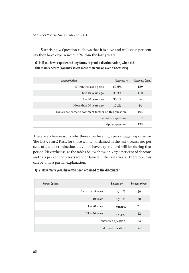Surprisingly, Question 11 shows that it is alive and well: 60.6 per cent say they have experienced it 'Within the last 5 years'.

**Q11: If you have experienced any forms of gender discrimination, when did this mainly occur? (You may select more than one answer if necessary)**

| <b>Answer Options</b>                                | Response %        | <b>Response Count</b> |
|------------------------------------------------------|-------------------|-----------------------|
| Within the last 5 years                              | 60.6%             | 189                   |
| 6 to 10 years ago                                    | 35.3%             | 110                   |
| $11 - 20$ years ago                                  | 30.1%             | 94                    |
| More than 20 years ago                               | 17.3%             | 54                    |
| You are welcome to comment further on this question. |                   | 105                   |
|                                                      | answered question | 312                   |
|                                                      | skipped question  | 123                   |

There are a few reasons why there may be a high percentage response for 'the last 5 years'. First, for those women ordained in the last 5 years, 100 per cent of the discrimination they may have experienced will be during that period. Nevertheless, as the tables below show, only 27.4 per cent of deacons and 23.2 per cent of priests were ordained in the last 5 years. Therefore, this can be only a partial explanation.

#### **Q12: How many years have you been ordained to the diaconate?**

| <b>Answer Options</b> |                   | Response %        | <b>Response Count</b> |
|-----------------------|-------------------|-------------------|-----------------------|
|                       | Less than 5 years | 27.4%             | 20                    |
|                       | $5 - 10$ years    | 27.4%             | 20                    |
|                       | $11 - 20$ years   | 28.8%             | 21                    |
|                       | $21 - 30$ years   | 16.4%             | 12                    |
|                       |                   | answered question | 73                    |
|                       |                   | skipped question  | 362                   |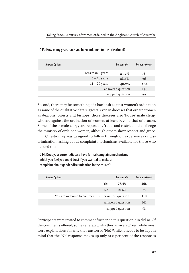| <b>Answer Options</b> |                   | Response %        | <b>Response Count</b> |
|-----------------------|-------------------|-------------------|-----------------------|
|                       | Less than 5 years | 23.2%             | 78                    |
|                       | $5 - 10$ years    | 28.6%             | 96                    |
|                       | $11 - 20$ years   | 48.2%             | 162                   |
|                       |                   | answered question | 336                   |
|                       |                   | skipped question  | 99                    |

#### **Q13: How many years have you been ordained to the priesthood?**

Second, there may be something of a backlash against women's ordination as some of the qualitative data suggests: even in dioceses that ordain women as deacons, priests and bishops, those dioceses also 'house' male clergy who are against the ordination of women, at least beyond that of deacon. Some of these male clergy are reportedly 'rude' and restrict and challenge the ministry of ordained women, although others show respect and grace.

Question 14 was designed to follow through on experiences of discrimination, asking about complaint mechanisms available for those who needed them.

**Q14: Does your current diocese have formal complaint mechanisms which you feel you could trust if you wanted to make a complaint about gender discrimination in the church?**

| <b>Answer Options</b>                                |                | Response %       | <b>Response Count</b> |
|------------------------------------------------------|----------------|------------------|-----------------------|
|                                                      | Yes            | 78.4%            | 268                   |
|                                                      | N <sub>0</sub> | 21.6%            | 74                    |
| You are welcome to comment further on this question. |                |                  | 110                   |
|                                                      | 342            |                  |                       |
|                                                      |                | skipped question | 93                    |

Participants were invited to comment further on this question: 110 did so. Of the comments offered, some reiterated why they answered 'Yes', while most were explanations for why they answered 'No'. While it needs to be kept in mind that the 'No' response makes up only 21.6 per cent of the responses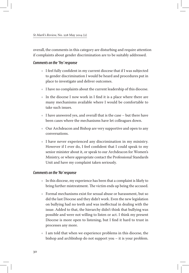overall, the comments in this category are disturbing and require attention if complaints about gender discrimination are to be suitably addressed.

#### *Comments on the 'Yes' response*

- $\bullet$  I feel fully confident in my current diocese that if I was subjected to gender discrimination I would be heard and procedures put in place to investigate and deliver outcomes.
- $\bullet$  I have no complaints about the current leadership of this diocese.
- $\bullet$  In the diocese I now work in I find it is a place where there are many mechanisms available where I would be comfortable to take such issues.
- $\bullet$  I have answered yes, and overall that is the case but there have been cases where the mechanisms have let colleagues down.
- $\bullet$  Our Archdeacon and Bishop are very supportive and open to any conversations.
- $\bullet$  I have never experienced any discrimination in my ministry. However if I ever do, I feel confident that I could speak to my senior minister about it, or speak to our Archdeacon for Women's Ministry, or where appropriate contact the Professional Standards Unit and have my complaint taken seriously.

#### *Comments on the 'No' response*

- $\bullet$  In this diocese, my experience has been that a complaint is likely to bring further mistreatment. The victim ends up being the accused.
- Ѽ Formal mechanisms exist for sexual abuse or harassment, but so did the last Diocese and they didn't work. Even the new legislation on bullying had no teeth and was ineffectual in dealing with the issue. Added to that, the hierarchy didn't think that bullying was possible and were not willing to listen or act. I think my present Diocese is more open to listening, but I find it hard to trust in processes any more.
- $\bullet$  I am told that when we experience problems in this diocese, the bishop and archbishop do not support you – it is your problem.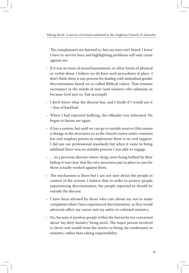The complainants are listened to, but our story isn't heard. I know I have to survive here and highlighting problems will only count against me.

- $\bullet$  If it was an issue of sexual harassment, or other forms of physical or verbal abuse I believe we do have such procedures in place. I don't think there is any process for dealing with attitudinal gender discrimination based on so called Biblical values. That remains sacrosanct in the minds of men (and women) who subsume us because God says so. Fait accompli!
- $\bullet$  I don't know what the diocese has, and I doubt if I would use it – fear of backlash.
- Ѽ When I had reported bullying, the offender was informed. He began to harass me again.
- $\bullet$  It has a system, but until we can go to outside sources (this means a change in the structures so as the church comes under common law and employs priests as employees) there is no real support. I did use our professional standards but when it came to being sidelined there was no suitable process I was able to engage.
- $\bullet$  ... in a previous diocese where clergy were being bullied by their bishop it was clear that the very structures put in place to care for them actually worked against them.
- Ѽ The mechanism is there but I am not sure about the people in control of the system. I believe that in order to protect people experiencing discrimination, the people reported to should be outside the diocese.
- $\bullet$  I have been advised by those who care about me not to make complaints when I have experienced discrimination, as they would adversely affect my career and my safety in ordained ministry.
- Ѽ No, because it involves people within the hierarchy too concerned about 'my dirty laundry' being aired. The major person involved is clever and would twist the stories to being my weaknesses in ministry, rather than taking responsibility.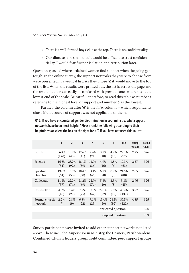- Ѽ There is a well-formed boys' club at the top. There is no confidentiality.
- $\triangle$  Our diocese is so small that it would be difficult to trust confidentiality. I would fear further isolation and retribution later.

Question 15 asked where ordained women find support when the going gets tough. In the online survey, the support networks they were to choose from were presented in a vertical list. As they chose '1', it would move to the top of the list. When the results were printed out, the list is across the page and the resultant table can easily be confused with previous ones where 1 is at the lowest end of the scale. Be careful, therefore, to read this table as number 1 referring to the highest level of support and number 6 as the lowest.

Further, the column after '6' is the N/A column – which respondents chose if that source of support was not applicable to them.

|                          | 1              | $\overline{2}$ | 3             | $\overline{4}$ | 5             | 6                 | N/A            | Rating<br>Average | Rating<br>Count |
|--------------------------|----------------|----------------|---------------|----------------|---------------|-------------------|----------------|-------------------|-----------------|
| Family                   | 36.8%<br>(120) | 13.2%<br>(43)  | 12.6%<br>(41) | 7.4%<br>(24)   | 3.1%<br>(10)  | 4.9%<br>(16)      | 22.1%<br>(72)  | 2.25              | 326             |
| Friends                  | 16.6%<br>(54)  | 28.2%<br>(92)  | 18.1%<br>(59) | 11.0%<br>(36)  | 4.9%<br>(16)  | 1.8%<br>(6)       | 19.3%<br>(63)  | 2.57              | 326             |
| Spiritual<br>Director    | 19.6%<br>(64)  | 16.3%<br>(53)  | 18.4%<br>(60) | 14.1%<br>(46)  | 6.1%<br>(20)  | 0.9%<br>(3)       | 24.5%<br>(80)  | 2.65              | 326             |
| Colleague                | 11.3%<br>(37)  | 22.7%<br>(74)  | 21.2%<br>(69) | 22.7%<br>(74)  | 5.8%<br>(19)  | 2.5%<br>(8)       | 3.8%<br>(45)   | 2.96              | 326             |
| Counsellor               | 4.9%<br>(16)   | 6.4%<br>(21)   | 7.7%<br>(25)  | 12.9%<br>(42)  | 22.1%<br>(72) | 5.8%<br>(19)      | 40.2%<br>(131) | 3.97              | 326             |
| Formal church<br>network | 2.2%<br>(7)    | 2.8%<br>(9)    | 6.8%<br>(22)  | 7.1%<br>(23)   | 15.4%<br>(50) | 28.3%<br>(92)     | 37.5%<br>(122) | 4.85              | 325             |
|                          |                |                |               |                |               | answered question |                |                   | 326             |
|                          |                |                |               |                |               | skipped question  |                |                   | 109             |

#### **Q15: If you have encountered gender discrimination in your ministry, what support networks have been most helpful? Please rank the following according to their helpfulness or select the box on the right for N/A if you have not used this source:**

Survey participants were invited to add other support networks not listed above. These included: Supervisor in Ministry, the Deanery, Parish wardens, Combined Church leaders group, Field committee, peer support groups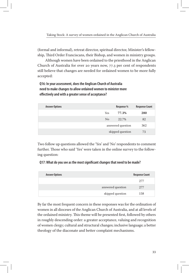(formal and informal), retreat director, spiritual director, Minister's fellowship, Third Order Franciscans, their Bishop, and women in ministry groups.

Although women have been ordained to the priesthood in the Anglican Church of Australia for over 20 years now, 77.3 per cent of respondents still believe that changes are needed for ordained women to be more fully accepted:

**Q16: In your assessment, does the Anglican Church of Australia need to make changes to allow ordained women to minister more effectively and with a greater sense of acceptance?**

| <b>Answer Options</b> |     | Response %        | <b>Response Count</b> |
|-----------------------|-----|-------------------|-----------------------|
|                       | Yes | 77.3%             | 280                   |
|                       | No  | 22.7%             | 82                    |
|                       |     | answered question | 362                   |
|                       |     | skipped question  | 73                    |

Two follow up questions allowed the 'Yes' and 'No' respondents to comment further. Those who said 'Yes' were taken in the online survey to the following question:

#### **Q17: What do you see as the most significant changes that need to be made?**

| <b>Answer Options</b> | <b>Response Count</b> |
|-----------------------|-----------------------|
|                       | 277                   |
| answered question     | 277                   |
| skipped question      | 158                   |

By far the most frequent concern in these responses was for the ordination of women in all dioceses of the Anglican Church of Australia, and at all levels of the ordained ministry. This theme will be presented first, followed by others in roughly descending order: a greater acceptance, valuing and recognition of women clergy; cultural and structural changes; inclusive language; a better theology of the diaconate and better complaint mechanisms.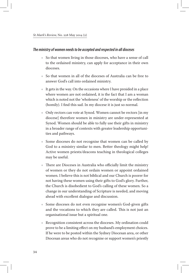#### *The ministry of women needs to be accepted and respected in all dioceses*

- $\bullet$  So that women living in those dioceses, who have a sense of call to the ordained ministry, can apply for acceptance in their own dioceses.
- $\bullet$  So that women in all of the dioceses of Australia can be free to answer God's call into ordained ministry.
- $*$  It gets in the way. On the occasions where I have presided in a place where women are not ordained, it is the fact that I am a woman which is noted not the 'wholeness' of the worship or the reflection (homily). I find this sad. In my diocese it is just so normal.
- $\triangleq$  Only rectors can vote at Synod. Women cannot be rectors [in my diocese] therefore women in ministry are under-represented at Synod. Women should be able to fully use their gifts in ministry in a broader range of contexts with greater leadership opportunities and pathways.
- Ѽ Some dioceses do not recognise that women can be called by God to a ministry similar to men. Better theology might help! Active women priests/deacons teaching in theological colleges may be useful.
- Ѽ There are Dioceses in Australia who officially limit the ministry of women or they do not ordain women or appoint ordained women. I believe this is not biblical and our Church is poorer for not having these women using their gifts to God's glory. Further, the Church is disobedient to God's calling of these women. So a change in our understanding of Scripture is needed, and moving ahead with excellent dialogue and discussion.
- Ѽ Some dioceses do not even recognise women's God-given gifts and the vocations to which they are called. This is not just an organisational issue but a spiritual one.
- Ѽ Recognition consistent across the dioceses. My ordination could prove to be a limiting effect on my husband's employment choices. If he were to be posted within the Sydney Diocesan area, or other Diocesan areas who do not recognise or support women's priestly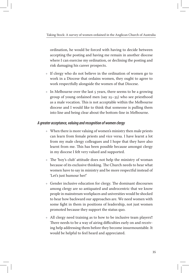ordination, he would be forced with having to decide between accepting the posting and having me remain in another diocese where I can exercise my ordination, or declining the posting and risk damaging his career prospects.

- Ѽ If clergy who do not believe in the ordination of women go to work in a Diocese that ordains women, they ought to agree to work respectfully alongside the women of that Diocese.
- $\bullet$  In Melbourne over the last 5 years, there seems to be a growing group of young ordained men (say 25–35) who see priesthood as a male vocation. This is not acceptable within the Melbourne diocese and I would like to think that someone is pulling them into line and being clear about the bottom-line in Melbourne.

#### *A greater acceptance, valuing and recognition of women clergy*

- $\triangleleft$  When there is more valuing of women's ministry then male priests can learn from female priests and vice versa. I have learnt a lot from my male clergy colleagues and I hope that they have also learnt from me. This has been possible because amongst clergy in my diocese I felt very valued and supported.
- Ѽ The 'boy's club' attitude does not help the ministry of woman because of its exclusive thinking. The Church needs to hear what women have to say in ministry and be more respectful instead of 'Let's just humour her!'
- Ѽ Gender inclusive education for clergy. The dominant discourses among clergy are so antiquated and androcentric that we know people in mainstream workplaces and universities would be shocked to hear how backward our approaches are. We need women with some fight in them in positions of leadership, not just women promoted because they support the status quo.
- Ѽ All clergy need training as to how to be inclusive team players!! There needs to be a way of airing difficulties early on and receiving help addressing them before they become insurmountable. It would be helpful to feel heard and appreciated.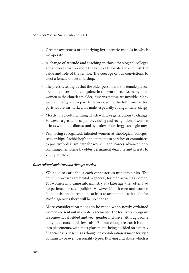- Ѽ Greater awareness of underlying kyriocentric models in which we operate.
- $\triangle$  A change of attitude and teaching in those theological colleges and dioceses that promote the value of the male and diminish the value and role of the female. The courage of our convictions to elect a female diocesan bishop.
- $\triangle$  The press is telling us that the older person and the female person are being discriminated against in the workforce. As many of us women in the church are older, it means that we are invisible. Many women clergy are in part time work while the full time 'better' parishes are earmarked for male, especially younger male, clergy.
- $\bullet$  Mostly it is a cultural thing which will take generations to change. However, a greater acceptance, valuing and recognition of women priests within the diocese and by male/senior clergy can begin now.
- Ѽ Promoting recognised, talented women at theological colleges: scholarships; Archbishop's appointments to parishes or committees to positively discriminate for women; and, career advancement/ planning/mentoring by older permanent deacons and priests to younger ones.

#### *Other cultural and structural changes needed*

- Ѽ We need to care about each other across ministry units. The church processes are brutal in general, for men as well as women. For women who came into ministry at a later age, they often had no patience for such politics. However if both men and women fail to insist on church being at least as accountable as its 'Not for Profit' agencies there will be no change.
- Ѽ More consideration needs to be made when newly ordained women are sent out in curate placements. The formation program is somewhat shielded and very gender inclusive, although some bullying occurs at this level also. But not enough research is done into placements, with most placements being decided on a purely financial basis. It seems as though no consideration is made for style of ministry or even personality types. Bullying and abuse which is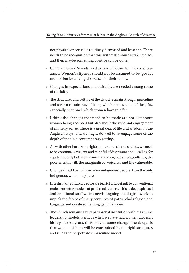not physical or sexual is routinely dismissed and lessened. There needs to be recognition that this systematic abuse is taking place and then maybe something positive can be done.

- $\triangleq$  Conferences and Synods need to have childcare facilities or allowances. Women's stipends should not be assumed to be 'pocket money' but be a living allowance for their family.
- Ѽ Changes in expectations and attitudes are needed among some of the laity.
- $\triangleq$  The structures and culture of the church remain strongly masculine and force a certain way of being which denies some of the gifts, especially relational, which women have to offer.
- $\bullet$  I think the changes that need to be made are not just about woman being accepted but also about the style and engagement of ministry *per se*. There is a great deal of life and wisdom in the Anglican ways, and we might do well to re-engage some of the depth of that in a contemporary setting.
- Ѽ As with other hard-won rights in our church and society, we need to be continually vigilant and mindful of discrimination – calling for equity not only between women and men, but among cultures, the poor, mentally ill, the marginalised, voiceless and the vulnerable.
- Ѽ Change should be to have more indigenous people. I am the only indigenous woman up here.
- $\bullet$  In a shrinking church people are fearful and default to conventional male protector models of preferred leaders. This is deep spiritual and emotional stuff which needs ongoing theological work to unpick the fabric of many centuries of patriarchal religion and language and create something genuinely new.
- $\triangleq$  The church remains a very patriarchal institution with masculine leadership models. Perhaps when we have had women diocesan bishops for 20 years, there may be some change. The danger is that women bishops will be constrained by the rigid structures and rules and perpetuate a masculine model.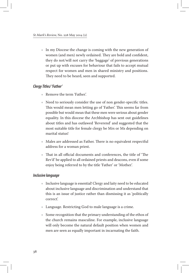$\bullet$  In my Diocese the change is coming with the new generation of women (and men) newly ordained. They are bold and confident, they do not/will not carry the 'baggage' of previous generations or put up with excuses for behaviour that fails to accept mutual respect for women and men in shared ministry and positions. They need to be heard, seen and supported.

#### *Clergy Titles/ 'Father'*

- Ѽ Remove the term 'Father'.
- $\triangleleft$  Need to seriously consider the use of non gender-specific titles. This would mean men letting go of 'Father'. This seems far from possible but would mean that these men were serious about gender equality. In this diocese the Archbishop has sent out guidelines about titles and has outlawed 'Reverend' and suggested that the most suitable title for female clergy be Mrs or Ms depending on marital status!
- Ѽ Males are addressed as Father. There is no equivalent respectful address for a woman priest.
- $\triangle$  That in all official documents and conferences, the title of 'The Rev'd' be applied to all ordained priests and deacons, even if some enjoy being referred to by the title 'Father' or 'Mother'.

#### *Inclusive language*

- Ѽ Inclusive language is essential! Clergy and laity need to be educated about inclusive language and discrimination and understand that this is an issue of justice rather than dismissing it as 'politically correct'.
- Ѽ Language. Restricting God to male language is a crime.
- Ѽ Some recognition that the primary understanding of the ethos of the church remains masculine. For example, inclusive language will only become the natural default position when women and men are seen as equally important in incarnating the faith.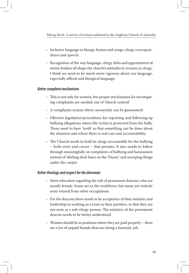- $\bullet$  Inclusive language in liturgy, hymns and songs, clergy correspondence and speech.
- Ѽ Recognition of the way language, clergy titles and appointment of senior leaders all shape the church's attitudes to women as clergy. I think we need to be much more rigorous about our language, especially official and liturgical language.

#### *Better complaint mechanisms*

- $\triangleq$  This is not only for women, but proper mechanisms for investigating complaints are needed, out of 'church control'.
- Ѽ A complaints system where anonymity can be guaranteed.
- Ѽ Effective legislation/procedures for reporting and following up bullying allegations where the victim is protected from the bully. These need to have 'teeth' so that something can be done about the situation and where there is real care and accountability.
- $\triangle$  The Church needs to hold its clergy accountable for the bullying – both overt and covert – that persists. It also needs to follow through meaningfully on complaints of bullying and harassment instead of 'shifting deck hairs on the Titanic' and sweeping things under the carpet.

#### *Better theology and respect for the diaconate*

- $\bullet$  More education regarding the role of permanent deacons, who are mostly female. Some are in the workforce, but many are retired/ semi-retired from other occupations.
- $\bullet$  For the deacons there needs to be acceptance of their ministry and leadership in working as a team in their parishes, so that they are not seen as a sub-clergy person. The ministry of the permanent deacon needs to be better understood.
- $\triangle$  Women should be in positions where they are paid properly there are a lot of unpaid female deacons doing a fantastic job.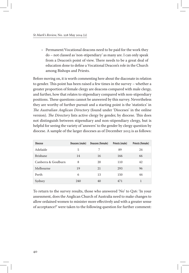$\triangle$  Permanent/Vocational deacons need to be paid for the work they do – not classed as 'non-stipendiary' as many are. I can only speak from a Deacon's point of view. There needs to be a great deal of education done to define a Vocational Deacon's role in the Church among Bishops and Priests.

Before moving on, it is worth commenting here about the diaconate in relation to gender. This point has been raised a few times in the survey – whether a greater proportion of female clergy are deacons compared with male clergy, and further, how that relates to stipendiary compared with non-stipendiary positions. These questions cannot be answered by this survey. Nevertheless they are worthy of further pursuit and a starting point is the 'statistics' in *The Australian Anglican Directory* (found under 'Dioceses' in the online version). *The Directory* lists active clergy by gender, by diocese. This does not distinguish between stipendiary and non-stipendiary clergy, but is helpful for seeing the variety of 'answers' to the gender by clergy question by diocese. A sample of the larger dioceses as of December 2013 is as follows:

| <b>Diocese</b>      | Deacons (male) | Deacons (female) | Priests (male) | Priests (female) |
|---------------------|----------------|------------------|----------------|------------------|
| Adelaide            | 5              | 7                | 89             | 24               |
| <b>Brisbane</b>     | 14             | 16               | 166            | 66               |
| Canberra & Goulburn | 8              | 20               | 110            | 42               |
| Melbourne           | 19             | 21               | 293            | 96               |
| Perth               | 6              | 13               | 150            | 44               |
| Sydney              | 240            | 40               | 471            |                  |

To return to the survey results, those who answered 'No' to Q16: 'In your assessment, does the Anglican Church of Australia need to make changes to allow ordained women to minister more effectively and with a greater sense of acceptance?' were taken to the following question for further comment: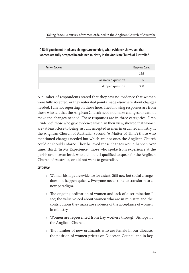**Q18: If you do not think any changes are needed, what evidence shows you that women are fully accepted in ordained ministry in the Anglican Church of Australia?**

| <b>Answer Options</b> |                   | <b>Response Count</b> |
|-----------------------|-------------------|-----------------------|
|                       |                   | 135                   |
|                       | answered question | 135                   |
|                       | skipped question  | 300                   |

A number of respondents stated that they saw no evidence that women were fully accepted, or they reiterated points made elsewhere about changes needed. I am not reporting on those here. The following responses are from those who felt that the Anglican Church need not make changes, or cannot make the changes needed. These responses are in three categories. First, 'Evidence': those who gave evidence which, in their view, showed that women are (at least close to being) as fully accepted as men in ordained ministry in the Anglican Church of Australia. Second, 'A Matter of Time': those who mentioned changes needed but which are not ones the Anglican Church could or should enforce. They believed these changes would happen over time. Third, 'In My Experience': those who spoke from experience at the parish or diocesan level, who did not feel qualified to speak for the Anglican Church of Australia, or did not want to generalise.

#### *Evidence*

- Ѽ Women bishops are evidence for a start. Still new but social change does not happen quickly. Everyone needs time to transform to a new paradigm.
- Ѽ The ongoing ordination of women and lack of discrimination I see; the value voiced about women who are in ministry, and the contributions they make are evidence of the acceptance of women in ministry.
- Ѽ Women are represented from Lay workers through Bishops in the Anglican Church.
- Ѽ The number of new ordinands who are female in our diocese, the position of women priests on Diocesan Council and in key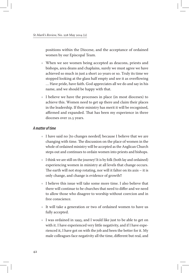positions within the Diocese, and the acceptance of ordained women by our Episcopal Team.

- Ѽ When we see women being accepted as deacons, priests and bishops, area deans and chaplains, surely we must agree we have achieved so much in just a short 20 years or so. Truly its time we stopped looking at the glass half empty and see it as overflowing … Have pride, have faith. God appreciates all we do and say in his name, and we should be happy with that.
- Ѽ I believe we have the processes in place (in most dioceses) to achieve this. Women need to get up there and claim their places in the leadership. If their ministry has merit it will be recognised, affirmed and expanded. That has been my experience in three dioceses over 21.5 years.

#### *A matter of time*

- $\bullet$  I have said no [to changes needed] because I believe that we are changing with time. The discussion on the place of women in the whole of ordained ministry will be accepted as the Anglican Church steps out and continues to ordain women into priests and bishops.
- $\bullet$  I think we are still on the journey! It is by folk (both lay and ordained) experiencing women in ministry at all levels that change occurs. The earth will not stop rotating, nor will it falter on its axis – it is only change, and change is evidence of growth!!
- $\bullet$  I believe this issue will take some more time. I also believe that there will continue to be churches that need to differ and we need to allow those who disagree to worship without coercion and in free conscience.
- $\bullet$  It will take a generation or two of ordained women to have us fully accepted.
- Ѽ I was ordained in 1993, and I would like just to be able to get on with it. I have experienced very little negativity, and if I have experienced it, I have got on with the job and been the better for it. My male colleagues face negativity all the time, different but real, and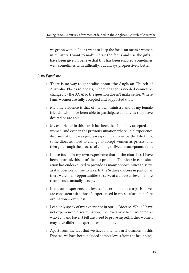we get on with it. I don't want to keep the focus on me as a woman in ministry. I want to make Christ the focus and use the gifts I have been given. I believe that this has been enabled, sometimes well, sometimes with difficulty, but always progressively better.

#### *In my Experience*

- Ѽ There is no way to generalise about 'the Anglican Church of Australia'. Places (dioceses) where change is needed cannot be changed by the 'ACA', so the question doesn't make sense. Where I am, women are fully accepted and supported (now).
- Ѽ My only evidence is that of my own ministry and of my female friends, who have been able to participate as fully as they have desired or are able.
- $\bullet$  My experience in this parish has been that I am fully accepted as a woman, and even in the previous situation where I did experience discrimination it was just a weapon in a wider battle. I do think some dioceses need to change to accept women as priests, and then go through the process of coming to live that acceptance fully.
- $\bullet$  I have found in my own experience that in the churches I have been a part of, this hasn't been a problem. The vicar in each situation has endeavoured to provide as many opportunities to serve as it is possible for me to take. In the Sydney diocese in particular there were many opportunities to serve at a diocesan level – more than I could actually accept.
- $\bullet$  In my own experience the levels of discrimination at a parish level are consistent with those I experienced in my secular life before ordination – even less.
- $\bullet$  I can only speak of my experience in our ... Diocese. While I have not experienced discrimination, I believe I have been accepted as who I am and haven't felt any need to prove myself. Other women may have different experiences no doubt.
- Ѽ Apart from the fact that we have no female archdeacons in this Diocese, we have been included at most levels from the beginning.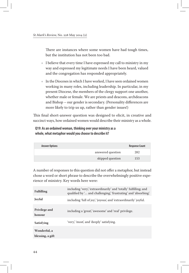There are instances where some women have had tough times, but the institution has not been too bad.

- $\bullet$  I believe that every time I have expressed my call to ministry in my way and expressed my legitimate needs I have been heard, valued and the congregation has responded appropriately.
- $\bullet$  In the Dioceses in which I have worked, I have seen ordained women working in many roles, including leadership. In particular, in my present Diocese, the members of the clergy support one another, whether male or female. We are priests and deacons, archdeacons and Bishop – our gender is secondary. (Personality differences are more likely to trip us up, rather than gender issues!)

This final short-answer question was designed to elicit, in creative and succinct ways, how ordained women would describe their ministry as a whole.

#### **Q19: As an ordained woman, thinking over your ministry as a whole, what metaphor would you choose to describe it?**

| <b>Answer Options</b> |                   | <b>Response Count</b> |
|-----------------------|-------------------|-----------------------|
|                       | answered question | 282                   |
|                       | skipped question  | 153                   |

A number of responses to this question did not offer a metaphor, but instead chose a word or short phrase to describe the overwhelmingly positive experience of ministry. Key words here were:

| <b>Fulfilling</b>                | including 'very', 'extraordinarily' and 'totally' fulfilling; and<br>qualified by ' and challenging', 'frustrating' and 'absorbing'. |
|----------------------------------|--------------------------------------------------------------------------------------------------------------------------------------|
| Joyful                           | including 'full of joy', 'joyous', and 'extraordinarily' joyful.                                                                     |
| <b>Privilege and</b><br>honour   | including a 'great', 'awesome' and 'real' privilege.                                                                                 |
| Satisfying                       | 'very', 'most', and 'deeply' satisfying.                                                                                             |
| Wonderful, a<br>blessing, a gift |                                                                                                                                      |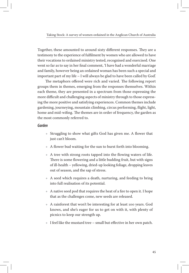Taking Stock: A survey of women ordained in the Anglican Church of Australia

Together, these amounted to around sixty different responses. They are a testimony to the experience of fulfilment by women who are allowed to have their vocations to ordained ministry tested, recognised and exercised. One went so far as to say in her final comment, 'I have had a wonderful marriage and family, however being an ordained woman has been such a special and important part of my life – I will always be glad to have been called by God'.

The metaphors offered were rich and varied. The following report groups them in themes, emerging from the responses themselves. Within each theme, they are presented in a spectrum from those expressing the more difficult and challenging aspects of ministry through to those expressing the more positive and satisfying experiences. Common themes include gardening, journeying, mountain climbing, circus performing, flight, light, home and mid-wifing. The themes are in order of frequency, the garden as the most commonly referred to.

#### *Garden*

- Ѽ Struggling to show what gifts God has given me. A flower that just can't bloom.
- $\triangle$  A flower bud waiting for the sun to burst forth into blooming.
- Ѽ A tree with strong roots tapped into the flowing waters of life. There is some flowering and a little budding fruit, but with signs of ill-health – yellowing, dried-up looking foliage, dropping leaves out of season, and the sap of stress.
- Ѽ A seed which requires a death, nurturing, and feeding to bring into full realisation of its potential.
- $\triangle$  A native seed pod that requires the heat of a fire to open it. I hope that as the challenges come, new seeds are released.
- Ѽ A rainforest that won't be interesting for at least 100 years. God knows, and she's eager for us to get on with it, with plenty of picnics to keep our strength up.
- $\bullet$  I feel like the mustard tree small but effective in her own patch.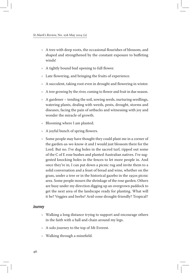- Ѽ A tree with deep roots, the occasional flourishes of blossom, and shaped and strengthened by the constant exposure to buffeting winds!
- $\triangle$  A tightly bound bud opening to full flower.
- Ѽ Late flowering, and bringing the fruits of experience.
- $\triangle$  A succulent, taking root even in drought and flowering in winter.
- $\triangle$  A tree growing by the river, coming to flower and fruit in due season.
- $\triangle$  A gardener tending the soil, sowing seeds, nurturing seedlings, watering plants, dealing with weeds, pests, drought, storms and diseases, facing the pain of setbacks and witnessing with joy and wonder the miracle of growth.
- Ѽ Blooming where I am planted.
- $\triangle$  A joyful bunch of spring flowers.
- Ѽ Some people may have thought they could plant me in a corner of the garden-as-we-know-it and I would just blossom there for the Lord. But no. I've dug holes in the sacred turf, ripped out some of the C of E rose bushes and planted Australian natives. I've suggested knocking holes in the fences to let more people in. And once they're in, I can put down a picnic rug and invite them to a solid conversation and a feast of bread and wine, whether on the grass, under a tree or in the historical gazebo in the 1950s picnic area. Some people mourn the shrinkage of the rose garden. Others are busy under my direction digging up an overgrown paddock to get the next area of the landscape ready for planting. What will it be? Veggies and herbs? Arid-zone drought-friendly? Tropical?

#### *Journey*

- Ѽ Walking a long distance trying to support and encourage others in the faith with a ball and chain around my legs.
- Ѽ A solo journey to the top of Mt Everest.
- Ѽ Walking through a minefield.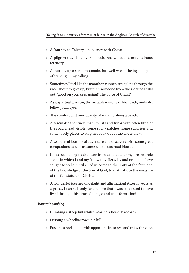- $\triangle$  A Journey to Calvary a journey with Christ.
- Ѽ A pilgrim travelling over smooth, rocky, flat and mountainous territory.
- $\triangle$  A journey up a steep mountain, but well worth the joy and pain of walking in my calling.
- $\bullet$  Sometimes I feel like the marathon runner, struggling through the race, about to give up, but then someone from the sidelines calls out, 'good on you, keep going!' The voice of Christ?
- $\triangle$  As a spiritual director, the metaphor is one of life coach, midwife, fellow journeyer.
- $\bullet$  The comfort and inevitability of walking along a beach.
- Ѽ A fascinating journey, many twists and turns with often little of the road ahead visible, some rocky patches, some surprises and some lovely places to stop and look out at the wider view.
- Ѽ A wonderful journey of adventure and discovery with some great companions as well as some who act as road blocks.
- Ѽ It has been an epic adventure from candidate to my present role – one in which I and my fellow travellers, lay and ordained, have sought to walk: 'until all of us come to the unity of the faith and of the knowledge of the Son of God, to maturity, to the measure of the full stature of Christ'.
- Ѽ A wonderful journey of delight and affirmation! After 17 years as a priest, I can still only just believe that I was so blessed to have lived through this time of change and transformation!

#### *Mountain climbing*

- $\bullet$  Climbing a steep hill whilst wearing a heavy backpack.
- $\triangleq$  Pushing a wheelbarrow up a hill.
- $\triangleq$  Pushing a rock uphill with opportunities to rest and enjoy the view.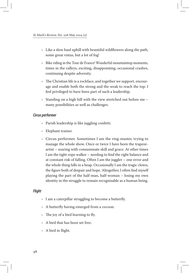- $\bullet$  Like a slow haul uphill with beautiful wildflowers along the path, some great vistas, but a lot of fog!
- $\triangleq$  Bike riding in the Tour de France! Wonderful mountaintop moments, times in the valleys, exciting, disappointing, occasional crashes, continuing despite adversity.
- $\triangleq$  The Christian life is a rockface, and together we support, encourage and enable both the strong and the weak to reach the top. I feel privileged to have been part of such a leadership.
- $\bullet$  Standing on a high hill with the view stretched out before me many possibilities as well as challenges.

#### *Circus performer*

- Ѽ Parish leadership is like juggling confetti.
- Ѽ Elephant trainer.
- Ѽ Circus performer. Sometimes I am the ring-master, trying to manage the whole show. Once or twice I have been the trapezeartist – soaring with consummate skill and grace. At other times I am the tight-rope walker – needing to find the right balance and at constant risk of falling. Often I am the juggler – one error and the whole thing falls in a heap. Occasionally I am the tragic clown, the figure both of despair and hope. Altogether, I often find myself playing the part of the half-man, half-woman – losing my own identity in the struggle to remain recognisable as a human being.

#### *Flight*

- $\bullet$  I am a caterpillar struggling to become a butterfly.
- Ѽ A butterfly having emerged from a cocoon.
- $\triangleleft$  The joy of a bird learning to fly.
- Ѽ A bird that has been set free.
- Ѽ A bird in flight.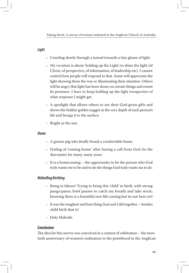#### *Light*

- Ѽ Crawling slowly through a tunnel towards a tiny gleam of light.
- Ѽ My vocation is about 'holding up the Light', to shine the light (of Christ, of perspective, of information, of leadership etc). I cannot control how people will respond to that. Some will appreciate the light showing them the way or illuminating their situation. Others will be angry that light has been shone on certain things and resent its presence. I have to keep holding up the light irrespective of what response I might get.
- Ѽ A spotlight that allows others to see their God-given gifts and shows the hidden golden nugget at the very depth of each person's life and brings it to the surface.
- Ѽ Bright as the sun.

#### *Home*

- $\triangle$  A guinea pig who finally found a comfortable home.
- Ѽ Feeling of 'coming home' after having a call from God (to the diaconate) for many, many years.
- $\bullet$  It is a homecoming the opportunity to be the person who God truly wants me to be and to do the things God truly wants me to do.

#### *Midwifing/birthing*

- Ѽ Being in labour! Trying to bring this 'child' to birth, with strong pangs/pains; brief pauses to catch my breath and take stock; knowing there is a beautiful new life coming but its not here yet!
- $\bullet$  It was the toughest and best thing God and I did together besides child birth that is!
- $*$  Holy Midwife.

#### **Conclusion**

The idea for this survey was conceived in a context of celebration – the twentieth anniversary of women's ordination to the priesthood in the Anglican